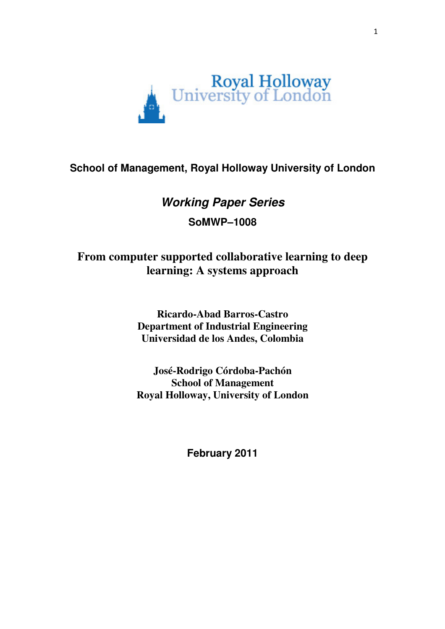

# **School of Management, Royal Holloway University of London**

# **Working Paper Series SoMWP–1008**

# **From computer supported collaborative learning to deep learning: A systems approach**

**Ricardo-Abad Barros-Castro Department of Industrial Engineering Universidad de los Andes, Colombia**

**José-Rodrigo Córdoba-Pachón School of Management Royal Holloway, University of London**

**February 2011**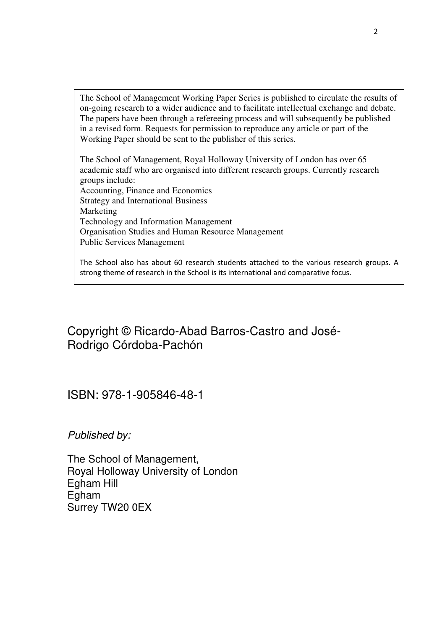The School of Management Working Paper Series is published to circulate the results of on-going research to a wider audience and to facilitate intellectual exchange and debate. The papers have been through a refereeing process and will subsequently be published in a revised form. Requests for permission to reproduce any article or part of the Working Paper should be sent to the publisher of this series.

The School of Management, Royal Holloway University of London has over 65 academic staff who are organised into different research groups. Currently research groups include: Accounting, Finance and Economics Strategy and International Business Marketing Technology and Information Management Organisation Studies and Human Resource Management Public Services Management

The School also has about 60 research students attached to the various research groups. A strong theme of research in the School is its international and comparative focus.

# Copyright © Ricardo-Abad Barros-Castro and José-Rodrigo Córdoba-Pachón

ISBN: 978-1-905846-48-1

Published by:

The School of Management, Royal Holloway University of London Egham Hill Egham Surrey TW20 0EX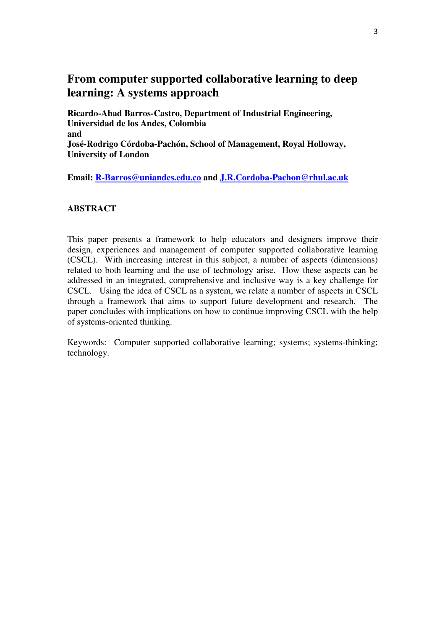# **From computer supported collaborative learning to deep learning: A systems approach**

**Ricardo-Abad Barros-Castro, Department of Industrial Engineering, Universidad de los Andes, Colombia and José-Rodrigo Córdoba-Pachón, School of Management, Royal Holloway, University of London** 

**Email: R-Barros@uniandes.edu.co and J.R.Cordoba-Pachon@rhul.ac.uk** 

### **ABSTRACT**

This paper presents a framework to help educators and designers improve their design, experiences and management of computer supported collaborative learning (CSCL). With increasing interest in this subject, a number of aspects (dimensions) related to both learning and the use of technology arise. How these aspects can be addressed in an integrated, comprehensive and inclusive way is a key challenge for CSCL. Using the idea of CSCL as a system, we relate a number of aspects in CSCL through a framework that aims to support future development and research. The paper concludes with implications on how to continue improving CSCL with the help of systems-oriented thinking.

Keywords: Computer supported collaborative learning; systems; systems-thinking; technology.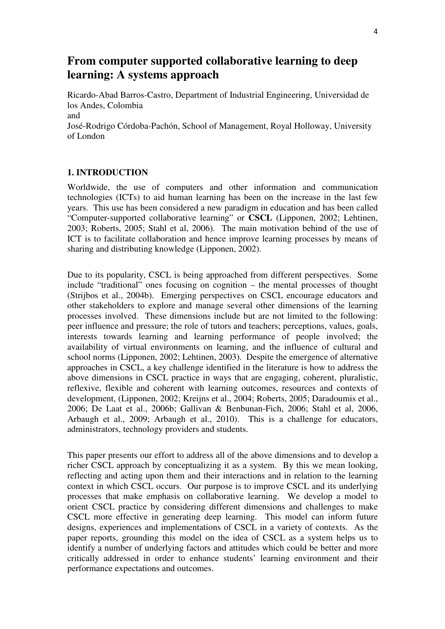# **From computer supported collaborative learning to deep learning: A systems approach**

Ricardo-Abad Barros-Castro, Department of Industrial Engineering, Universidad de los Andes, Colombia and

José-Rodrigo Córdoba-Pachón, School of Management, Royal Holloway, University of London

### **1. INTRODUCTION**

Worldwide, the use of computers and other information and communication technologies (ICTs) to aid human learning has been on the increase in the last few years. This use has been considered a new paradigm in education and has been called "Computer-supported collaborative learning" or **CSCL** (Lipponen, 2002; Lehtinen, 2003; Roberts, 2005; Stahl et al, 2006). The main motivation behind of the use of ICT is to facilitate collaboration and hence improve learning processes by means of sharing and distributing knowledge (Lipponen, 2002).

Due to its popularity, CSCL is being approached from different perspectives. Some include "traditional" ones focusing on cognition – the mental processes of thought (Strijbos et al., 2004b). Emerging perspectives on CSCL encourage educators and other stakeholders to explore and manage several other dimensions of the learning processes involved. These dimensions include but are not limited to the following: peer influence and pressure; the role of tutors and teachers; perceptions, values, goals, interests towards learning and learning performance of people involved; the availability of virtual environments on learning, and the influence of cultural and school norms (Lipponen, 2002; Lehtinen, 2003). Despite the emergence of alternative approaches in CSCL, a key challenge identified in the literature is how to address the above dimensions in CSCL practice in ways that are engaging, coherent, pluralistic, reflexive, flexible and coherent with learning outcomes, resources and contexts of development, (Lipponen, 2002; Kreijns et al., 2004; Roberts, 2005; Daradoumis et al., 2006; De Laat et al., 2006b; Gallivan & Benbunan-Fich, 2006; Stahl et al, 2006, Arbaugh et al., 2009; Arbaugh et al., 2010). This is a challenge for educators, administrators, technology providers and students.

This paper presents our effort to address all of the above dimensions and to develop a richer CSCL approach by conceptualizing it as a system. By this we mean looking, reflecting and acting upon them and their interactions and in relation to the learning context in which CSCL occurs. Our purpose is to improve CSCL and its underlying processes that make emphasis on collaborative learning. We develop a model to orient CSCL practice by considering different dimensions and challenges to make CSCL more effective in generating deep learning. This model can inform future designs, experiences and implementations of CSCL in a variety of contexts. As the paper reports, grounding this model on the idea of CSCL as a system helps us to identify a number of underlying factors and attitudes which could be better and more critically addressed in order to enhance students' learning environment and their performance expectations and outcomes.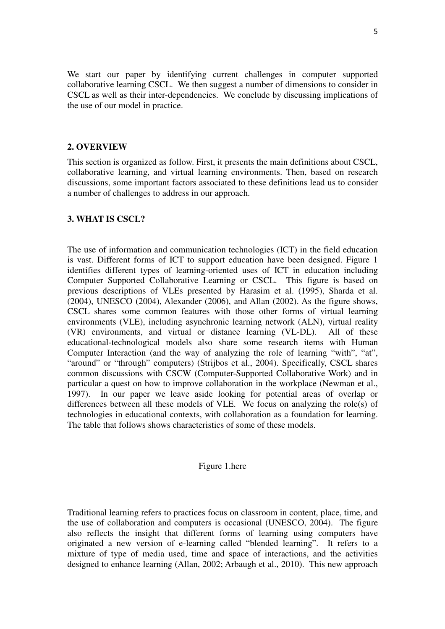We start our paper by identifying current challenges in computer supported collaborative learning CSCL. We then suggest a number of dimensions to consider in CSCL as well as their inter-dependencies. We conclude by discussing implications of the use of our model in practice.

#### **2. OVERVIEW**

This section is organized as follow. First, it presents the main definitions about CSCL, collaborative learning, and virtual learning environments. Then, based on research discussions, some important factors associated to these definitions lead us to consider a number of challenges to address in our approach.

### **3. WHAT IS CSCL?**

The use of information and communication technologies (ICT) in the field education is vast. Different forms of ICT to support education have been designed. Figure 1 identifies different types of learning-oriented uses of ICT in education including Computer Supported Collaborative Learning or CSCL. This figure is based on previous descriptions of VLEs presented by Harasim et al. (1995), Sharda et al. (2004), UNESCO (2004), Alexander (2006), and Allan (2002). As the figure shows, CSCL shares some common features with those other forms of virtual learning environments (VLE), including asynchronic learning network (ALN), virtual reality (VR) environments, and virtual or distance learning (VL-DL). All of these educational-technological models also share some research items with Human Computer Interaction (and the way of analyzing the role of learning "with", "at", "around" or "through" computers) (Strijbos et al., 2004). Specifically, CSCL shares common discussions with CSCW (Computer-Supported Collaborative Work) and in particular a quest on how to improve collaboration in the workplace (Newman et al., 1997). In our paper we leave aside looking for potential areas of overlap or differences between all these models of VLE. We focus on analyzing the role(s) of technologies in educational contexts, with collaboration as a foundation for learning. The table that follows shows characteristics of some of these models.

#### Figure 1.here

Traditional learning refers to practices focus on classroom in content, place, time, and the use of collaboration and computers is occasional (UNESCO, 2004). The figure also reflects the insight that different forms of learning using computers have originated a new version of e-learning called "blended learning". It refers to a mixture of type of media used, time and space of interactions, and the activities designed to enhance learning (Allan, 2002; Arbaugh et al., 2010). This new approach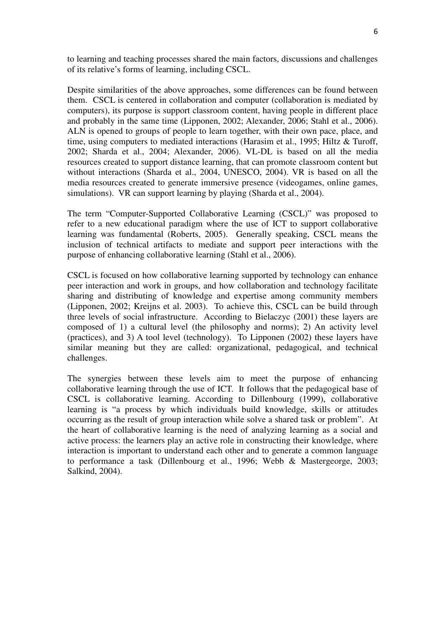to learning and teaching processes shared the main factors, discussions and challenges of its relative's forms of learning, including CSCL.

Despite similarities of the above approaches, some differences can be found between them. CSCL is centered in collaboration and computer (collaboration is mediated by computers), its purpose is support classroom content, having people in different place and probably in the same time (Lipponen, 2002; Alexander, 2006; Stahl et al., 2006). ALN is opened to groups of people to learn together, with their own pace, place, and time, using computers to mediated interactions (Harasim et al., 1995; Hiltz & Turoff, 2002; Sharda et al., 2004; Alexander, 2006). VL-DL is based on all the media resources created to support distance learning, that can promote classroom content but without interactions (Sharda et al., 2004, UNESCO, 2004). VR is based on all the media resources created to generate immersive presence (videogames, online games, simulations). VR can support learning by playing (Sharda et al., 2004).

The term "Computer-Supported Collaborative Learning (CSCL)" was proposed to refer to a new educational paradigm where the use of ICT to support collaborative learning was fundamental (Roberts, 2005). Generally speaking, CSCL means the inclusion of technical artifacts to mediate and support peer interactions with the purpose of enhancing collaborative learning (Stahl et al., 2006).

CSCL is focused on how collaborative learning supported by technology can enhance peer interaction and work in groups, and how collaboration and technology facilitate sharing and distributing of knowledge and expertise among community members (Lipponen, 2002; Kreijns et al. 2003). To achieve this, CSCL can be build through three levels of social infrastructure. According to Bielaczyc (2001) these layers are composed of 1) a cultural level (the philosophy and norms); 2) An activity level (practices), and 3) A tool level (technology). To Lipponen (2002) these layers have similar meaning but they are called: organizational, pedagogical, and technical challenges.

The synergies between these levels aim to meet the purpose of enhancing collaborative learning through the use of ICT. It follows that the pedagogical base of CSCL is collaborative learning. According to Dillenbourg (1999), collaborative learning is "a process by which individuals build knowledge, skills or attitudes occurring as the result of group interaction while solve a shared task or problem". At the heart of collaborative learning is the need of analyzing learning as a social and active process: the learners play an active role in constructing their knowledge, where interaction is important to understand each other and to generate a common language to performance a task (Dillenbourg et al., 1996; Webb & Mastergeorge, 2003; Salkind, 2004).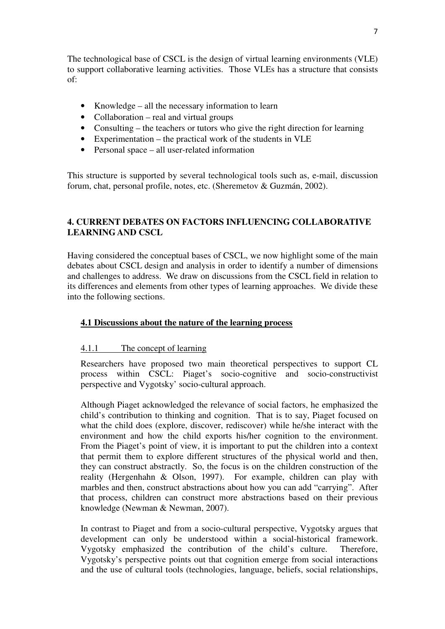The technological base of CSCL is the design of virtual learning environments (VLE) to support collaborative learning activities. Those VLEs has a structure that consists of:

- Knowledge all the necessary information to learn
- Collaboration real and virtual groups
- Consulting the teachers or tutors who give the right direction for learning
- Experimentation the practical work of the students in VLE
- Personal space all user-related information

This structure is supported by several technological tools such as, e-mail, discussion forum, chat, personal profile, notes, etc. (Sheremetov & Guzmán, 2002).

## **4. CURRENT DEBATES ON FACTORS INFLUENCING COLLABORATIVE LEARNING AND CSCL**

Having considered the conceptual bases of CSCL, we now highlight some of the main debates about CSCL design and analysis in order to identify a number of dimensions and challenges to address. We draw on discussions from the CSCL field in relation to its differences and elements from other types of learning approaches. We divide these into the following sections.

### **4.1 Discussions about the nature of the learning process**

### 4.1.1 The concept of learning

Researchers have proposed two main theoretical perspectives to support CL process within CSCL: Piaget's socio-cognitive and socio-constructivist perspective and Vygotsky' socio-cultural approach.

Although Piaget acknowledged the relevance of social factors, he emphasized the child's contribution to thinking and cognition. That is to say, Piaget focused on what the child does (explore, discover, rediscover) while he/she interact with the environment and how the child exports his/her cognition to the environment. From the Piaget's point of view, it is important to put the children into a context that permit them to explore different structures of the physical world and then, they can construct abstractly. So, the focus is on the children construction of the reality (Hergenhahn & Olson, 1997). For example, children can play with marbles and then, construct abstractions about how you can add "carrying". After that process, children can construct more abstractions based on their previous knowledge (Newman & Newman, 2007).

In contrast to Piaget and from a socio-cultural perspective, Vygotsky argues that development can only be understood within a social-historical framework. Vygotsky emphasized the contribution of the child's culture. Therefore, Vygotsky's perspective points out that cognition emerge from social interactions and the use of cultural tools (technologies, language, beliefs, social relationships,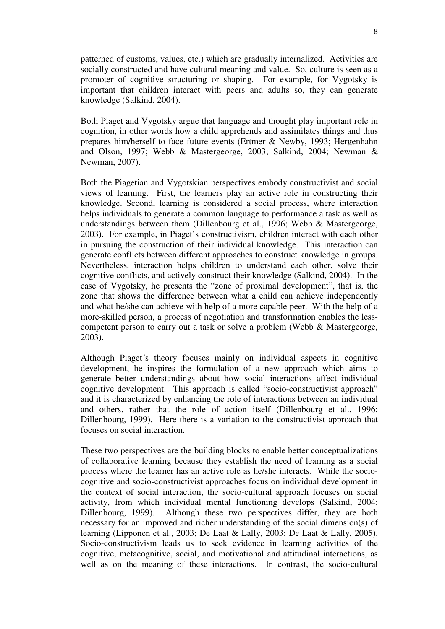patterned of customs, values, etc.) which are gradually internalized. Activities are socially constructed and have cultural meaning and value. So, culture is seen as a promoter of cognitive structuring or shaping. For example, for Vygotsky is important that children interact with peers and adults so, they can generate knowledge (Salkind, 2004).

Both Piaget and Vygotsky argue that language and thought play important role in cognition, in other words how a child apprehends and assimilates things and thus prepares him/herself to face future events (Ertmer & Newby, 1993; Hergenhahn and Olson, 1997; Webb & Mastergeorge, 2003; Salkind, 2004; Newman & Newman, 2007).

Both the Piagetian and Vygotskian perspectives embody constructivist and social views of learning. First, the learners play an active role in constructing their knowledge. Second, learning is considered a social process, where interaction helps individuals to generate a common language to performance a task as well as understandings between them (Dillenbourg et al., 1996; Webb & Mastergeorge, 2003). For example, in Piaget's constructivism, children interact with each other in pursuing the construction of their individual knowledge. This interaction can generate conflicts between different approaches to construct knowledge in groups. Nevertheless, interaction helps children to understand each other, solve their cognitive conflicts, and actively construct their knowledge (Salkind, 2004). In the case of Vygotsky, he presents the "zone of proximal development", that is, the zone that shows the difference between what a child can achieve independently and what he/she can achieve with help of a more capable peer. With the help of a more-skilled person, a process of negotiation and transformation enables the lesscompetent person to carry out a task or solve a problem (Webb & Mastergeorge, 2003).

Although Piaget´s theory focuses mainly on individual aspects in cognitive development, he inspires the formulation of a new approach which aims to generate better understandings about how social interactions affect individual cognitive development. This approach is called "socio-constructivist approach" and it is characterized by enhancing the role of interactions between an individual and others, rather that the role of action itself (Dillenbourg et al., 1996; Dillenbourg, 1999). Here there is a variation to the constructivist approach that focuses on social interaction.

These two perspectives are the building blocks to enable better conceptualizations of collaborative learning because they establish the need of learning as a social process where the learner has an active role as he/she interacts. While the sociocognitive and socio-constructivist approaches focus on individual development in the context of social interaction, the socio-cultural approach focuses on social activity, from which individual mental functioning develops (Salkind, 2004; Dillenbourg, 1999). Although these two perspectives differ, they are both necessary for an improved and richer understanding of the social dimension(s) of learning (Lipponen et al., 2003; De Laat & Lally, 2003; De Laat & Lally, 2005). Socio-constructivism leads us to seek evidence in learning activities of the cognitive, metacognitive, social, and motivational and attitudinal interactions, as well as on the meaning of these interactions. In contrast, the socio-cultural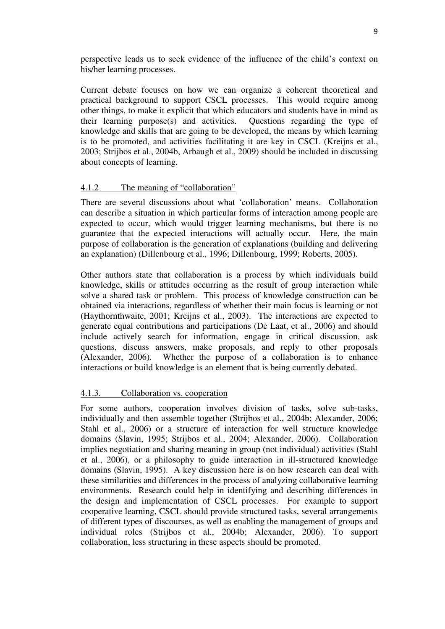perspective leads us to seek evidence of the influence of the child's context on his/her learning processes.

Current debate focuses on how we can organize a coherent theoretical and practical background to support CSCL processes. This would require among other things, to make it explicit that which educators and students have in mind as their learning purpose(s) and activities. Questions regarding the type of knowledge and skills that are going to be developed, the means by which learning is to be promoted, and activities facilitating it are key in CSCL (Kreijns et al., 2003; Strijbos et al., 2004b, Arbaugh et al., 2009) should be included in discussing about concepts of learning.

### 4.1.2 The meaning of "collaboration"

There are several discussions about what 'collaboration' means. Collaboration can describe a situation in which particular forms of interaction among people are expected to occur, which would trigger learning mechanisms, but there is no guarantee that the expected interactions will actually occur. Here, the main purpose of collaboration is the generation of explanations (building and delivering an explanation) (Dillenbourg et al., 1996; Dillenbourg, 1999; Roberts, 2005).

Other authors state that collaboration is a process by which individuals build knowledge, skills or attitudes occurring as the result of group interaction while solve a shared task or problem. This process of knowledge construction can be obtained via interactions, regardless of whether their main focus is learning or not (Haythornthwaite, 2001; Kreijns et al., 2003). The interactions are expected to generate equal contributions and participations (De Laat, et al., 2006) and should include actively search for information, engage in critical discussion, ask questions, discuss answers, make proposals, and reply to other proposals (Alexander, 2006). Whether the purpose of a collaboration is to enhance interactions or build knowledge is an element that is being currently debated.

### 4.1.3. Collaboration vs. cooperation

For some authors, cooperation involves division of tasks, solve sub-tasks, individually and then assemble together (Strijbos et al., 2004b; Alexander, 2006; Stahl et al., 2006) or a structure of interaction for well structure knowledge domains (Slavin, 1995; Strijbos et al., 2004; Alexander, 2006). Collaboration implies negotiation and sharing meaning in group (not individual) activities (Stahl et al., 2006), or a philosophy to guide interaction in ill-structured knowledge domains (Slavin, 1995). A key discussion here is on how research can deal with these similarities and differences in the process of analyzing collaborative learning environments. Research could help in identifying and describing differences in the design and implementation of CSCL processes. For example to support cooperative learning, CSCL should provide structured tasks, several arrangements of different types of discourses, as well as enabling the management of groups and individual roles (Strijbos et al., 2004b; Alexander, 2006). To support collaboration, less structuring in these aspects should be promoted.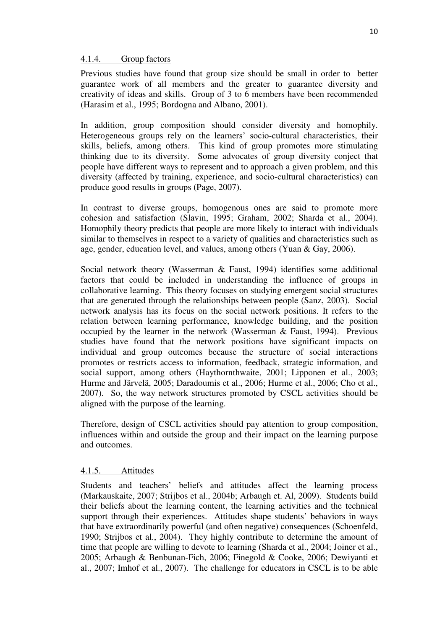#### 4.1.4. Group factors

Previous studies have found that group size should be small in order to better guarantee work of all members and the greater to guarantee diversity and creativity of ideas and skills. Group of 3 to 6 members have been recommended (Harasim et al., 1995; Bordogna and Albano, 2001).

In addition, group composition should consider diversity and homophily. Heterogeneous groups rely on the learners' socio-cultural characteristics, their skills, beliefs, among others. This kind of group promotes more stimulating thinking due to its diversity. Some advocates of group diversity conject that people have different ways to represent and to approach a given problem, and this diversity (affected by training, experience, and socio-cultural characteristics) can produce good results in groups (Page, 2007).

In contrast to diverse groups, homogenous ones are said to promote more cohesion and satisfaction (Slavin, 1995; Graham, 2002; Sharda et al., 2004). Homophily theory predicts that people are more likely to interact with individuals similar to themselves in respect to a variety of qualities and characteristics such as age, gender, education level, and values, among others (Yuan & Gay, 2006).

Social network theory (Wasserman & Faust, 1994) identifies some additional factors that could be included in understanding the influence of groups in collaborative learning. This theory focuses on studying emergent social structures that are generated through the relationships between people (Sanz, 2003). Social network analysis has its focus on the social network positions. It refers to the relation between learning performance, knowledge building, and the position occupied by the learner in the network (Wasserman & Faust, 1994). Previous studies have found that the network positions have significant impacts on individual and group outcomes because the structure of social interactions promotes or restricts access to information, feedback, strategic information, and social support, among others (Haythornthwaite, 2001; Lipponen et al., 2003; Hurme and Järvelä, 2005; Daradoumis et al., 2006; Hurme et al., 2006; Cho et al., 2007). So, the way network structures promoted by CSCL activities should be aligned with the purpose of the learning.

Therefore, design of CSCL activities should pay attention to group composition, influences within and outside the group and their impact on the learning purpose and outcomes.

#### 4.1.5. Attitudes

Students and teachers' beliefs and attitudes affect the learning process (Markauskaite, 2007; Strijbos et al., 2004b; Arbaugh et. Al, 2009). Students build their beliefs about the learning content, the learning activities and the technical support through their experiences. Attitudes shape students' behaviors in ways that have extraordinarily powerful (and often negative) consequences (Schoenfeld, 1990; Strijbos et al., 2004). They highly contribute to determine the amount of time that people are willing to devote to learning (Sharda et al., 2004; Joiner et al., 2005; Arbaugh & Benbunan-Fich, 2006; Finegold & Cooke, 2006; Dewiyanti et al., 2007; Imhof et al., 2007). The challenge for educators in CSCL is to be able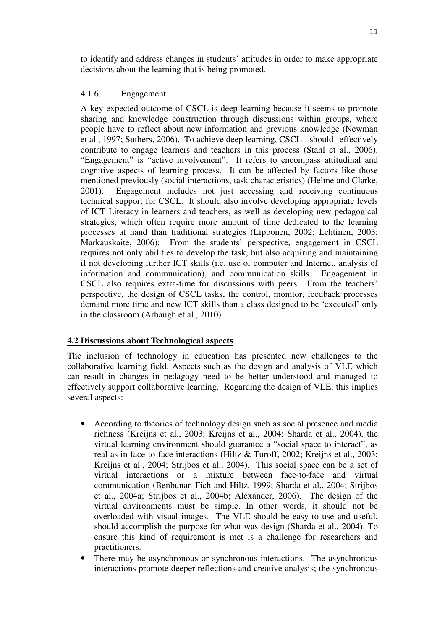to identify and address changes in students' attitudes in order to make appropriate decisions about the learning that is being promoted.

### 4.1.6. Engagement

A key expected outcome of CSCL is deep learning because it seems to promote sharing and knowledge construction through discussions within groups, where people have to reflect about new information and previous knowledge (Newman et al., 1997; Suthers, 2006). To achieve deep learning, CSCL should effectively contribute to engage learners and teachers in this process (Stahl et al., 2006). "Engagement" is "active involvement". It refers to encompass attitudinal and cognitive aspects of learning process. It can be affected by factors like those mentioned previously (social interactions, task characteristics) (Helme and Clarke, 2001). Engagement includes not just accessing and receiving continuous technical support for CSCL. It should also involve developing appropriate levels of ICT Literacy in learners and teachers, as well as developing new pedagogical strategies, which often require more amount of time dedicated to the learning processes at hand than traditional strategies (Lipponen, 2002; Lehtinen, 2003; Markauskaite, 2006): From the students' perspective, engagement in CSCL requires not only abilities to develop the task, but also acquiring and maintaining if not developing further ICT skills (i.e. use of computer and Internet, analysis of information and communication), and communication skills. Engagement in CSCL also requires extra-time for discussions with peers. From the teachers' perspective, the design of CSCL tasks, the control, monitor, feedback processes demand more time and new ICT skills than a class designed to be 'executed' only in the classroom (Arbaugh et al., 2010).

# **4.2 Discussions about Technological aspects**

The inclusion of technology in education has presented new challenges to the collaborative learning field. Aspects such as the design and analysis of VLE which can result in changes in pedagogy need to be better understood and managed to effectively support collaborative learning. Regarding the design of VLE, this implies several aspects:

- According to theories of technology design such as social presence and media richness (Kreijns et al., 2003: Kreijns et al., 2004: Sharda et al., 2004), the virtual learning environment should guarantee a "social space to interact", as real as in face-to-face interactions (Hiltz & Turoff, 2002; Kreijns et al., 2003; Kreijns et al., 2004; Strijbos et al., 2004). This social space can be a set of virtual interactions or a mixture between face-to-face and virtual communication (Benbunan-Fich and Hiltz, 1999; Sharda et al., 2004; Strijbos et al., 2004a; Strijbos et al., 2004b; Alexander, 2006). The design of the virtual environments must be simple. In other words, it should not be overloaded with visual images. The VLE should be easy to use and useful, should accomplish the purpose for what was design (Sharda et al., 2004). To ensure this kind of requirement is met is a challenge for researchers and practitioners.
- There may be asynchronous or synchronous interactions. The asynchronous interactions promote deeper reflections and creative analysis; the synchronous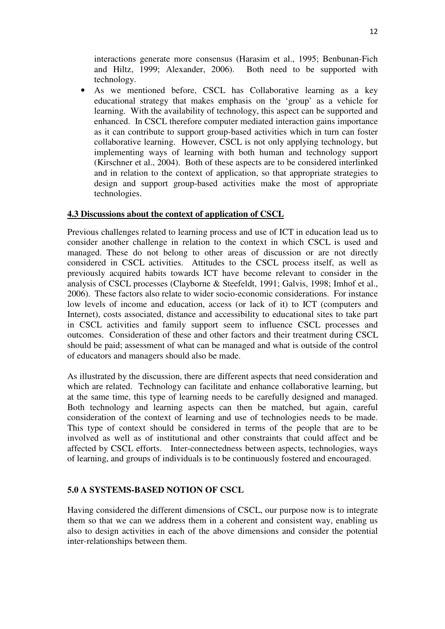interactions generate more consensus (Harasim et al., 1995; Benbunan-Fich and Hiltz, 1999; Alexander, 2006). Both need to be supported with technology.

As we mentioned before, CSCL has Collaborative learning as a key educational strategy that makes emphasis on the 'group' as a vehicle for learning. With the availability of technology, this aspect can be supported and enhanced. In CSCL therefore computer mediated interaction gains importance as it can contribute to support group-based activities which in turn can foster collaborative learning. However, CSCL is not only applying technology, but implementing ways of learning with both human and technology support (Kirschner et al., 2004). Both of these aspects are to be considered interlinked and in relation to the context of application, so that appropriate strategies to design and support group-based activities make the most of appropriate technologies.

### **4.3 Discussions about the context of application of CSCL**

Previous challenges related to learning process and use of ICT in education lead us to consider another challenge in relation to the context in which CSCL is used and managed. These do not belong to other areas of discussion or are not directly considered in CSCL activities. Attitudes to the CSCL process itself, as well as previously acquired habits towards ICT have become relevant to consider in the analysis of CSCL processes (Clayborne & Steefeldt, 1991; Galvis, 1998; Imhof et al., 2006). These factors also relate to wider socio-economic considerations. For instance low levels of income and education, access (or lack of it) to ICT (computers and Internet), costs associated, distance and accessibility to educational sites to take part in CSCL activities and family support seem to influence CSCL processes and outcomes. Consideration of these and other factors and their treatment during CSCL should be paid; assessment of what can be managed and what is outside of the control of educators and managers should also be made.

As illustrated by the discussion, there are different aspects that need consideration and which are related. Technology can facilitate and enhance collaborative learning, but at the same time, this type of learning needs to be carefully designed and managed. Both technology and learning aspects can then be matched, but again, careful consideration of the context of learning and use of technologies needs to be made. This type of context should be considered in terms of the people that are to be involved as well as of institutional and other constraints that could affect and be affected by CSCL efforts. Inter-connectedness between aspects, technologies, ways of learning, and groups of individuals is to be continuously fostered and encouraged.

# **5.0 A SYSTEMS-BASED NOTION OF CSCL**

Having considered the different dimensions of CSCL, our purpose now is to integrate them so that we can we address them in a coherent and consistent way, enabling us also to design activities in each of the above dimensions and consider the potential inter-relationships between them.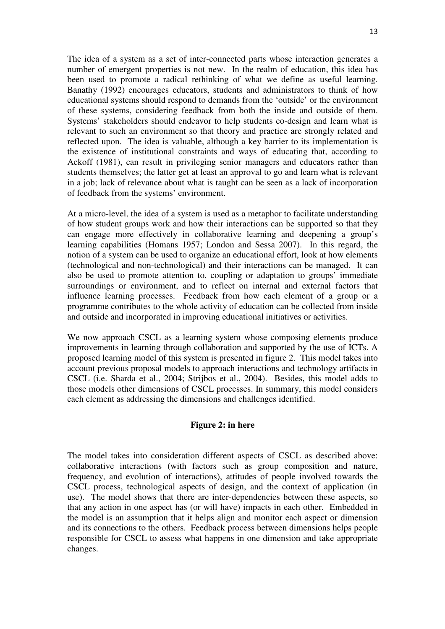The idea of a system as a set of inter-connected parts whose interaction generates a number of emergent properties is not new. In the realm of education, this idea has been used to promote a radical rethinking of what we define as useful learning. Banathy (1992) encourages educators, students and administrators to think of how educational systems should respond to demands from the 'outside' or the environment of these systems, considering feedback from both the inside and outside of them. Systems' stakeholders should endeavor to help students co-design and learn what is relevant to such an environment so that theory and practice are strongly related and reflected upon. The idea is valuable, although a key barrier to its implementation is the existence of institutional constraints and ways of educating that, according to Ackoff (1981), can result in privileging senior managers and educators rather than students themselves; the latter get at least an approval to go and learn what is relevant in a job; lack of relevance about what is taught can be seen as a lack of incorporation of feedback from the systems' environment.

At a micro-level, the idea of a system is used as a metaphor to facilitate understanding of how student groups work and how their interactions can be supported so that they can engage more effectively in collaborative learning and deepening a group's learning capabilities (Homans 1957; London and Sessa 2007). In this regard, the notion of a system can be used to organize an educational effort, look at how elements (technological and non-technological) and their interactions can be managed. It can also be used to promote attention to, coupling or adaptation to groups' immediate surroundings or environment, and to reflect on internal and external factors that influence learning processes. Feedback from how each element of a group or a programme contributes to the whole activity of education can be collected from inside and outside and incorporated in improving educational initiatives or activities.

We now approach CSCL as a learning system whose composing elements produce improvements in learning through collaboration and supported by the use of ICTs. A proposed learning model of this system is presented in figure 2. This model takes into account previous proposal models to approach interactions and technology artifacts in CSCL (i.e. Sharda et al., 2004; Strijbos et al., 2004). Besides, this model adds to those models other dimensions of CSCL processes. In summary, this model considers each element as addressing the dimensions and challenges identified.

#### **Figure 2: in here**

The model takes into consideration different aspects of CSCL as described above: collaborative interactions (with factors such as group composition and nature, frequency, and evolution of interactions), attitudes of people involved towards the CSCL process, technological aspects of design, and the context of application (in use). The model shows that there are inter-dependencies between these aspects, so that any action in one aspect has (or will have) impacts in each other. Embedded in the model is an assumption that it helps align and monitor each aspect or dimension and its connections to the others. Feedback process between dimensions helps people responsible for CSCL to assess what happens in one dimension and take appropriate changes.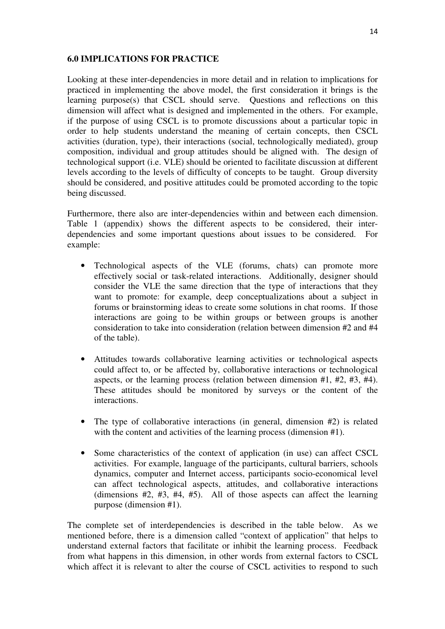#### **6.0 IMPLICATIONS FOR PRACTICE**

Looking at these inter-dependencies in more detail and in relation to implications for practiced in implementing the above model, the first consideration it brings is the learning purpose(s) that CSCL should serve. Questions and reflections on this dimension will affect what is designed and implemented in the others. For example, if the purpose of using CSCL is to promote discussions about a particular topic in order to help students understand the meaning of certain concepts, then CSCL activities (duration, type), their interactions (social, technologically mediated), group composition, individual and group attitudes should be aligned with. The design of technological support (i.e. VLE) should be oriented to facilitate discussion at different levels according to the levels of difficulty of concepts to be taught. Group diversity should be considered, and positive attitudes could be promoted according to the topic being discussed.

Furthermore, there also are inter-dependencies within and between each dimension. Table 1 (appendix) shows the different aspects to be considered, their interdependencies and some important questions about issues to be considered. For example:

- Technological aspects of the VLE (forums, chats) can promote more effectively social or task-related interactions. Additionally, designer should consider the VLE the same direction that the type of interactions that they want to promote: for example, deep conceptualizations about a subject in forums or brainstorming ideas to create some solutions in chat rooms. If those interactions are going to be within groups or between groups is another consideration to take into consideration (relation between dimension #2 and #4 of the table).
- Attitudes towards collaborative learning activities or technological aspects could affect to, or be affected by, collaborative interactions or technological aspects, or the learning process (relation between dimension #1, #2, #3, #4). These attitudes should be monitored by surveys or the content of the interactions.
- The type of collaborative interactions (in general, dimension  $#2$ ) is related with the content and activities of the learning process (dimension #1).
- Some characteristics of the context of application (in use) can affect CSCL activities. For example, language of the participants, cultural barriers, schools dynamics, computer and Internet access, participants socio-economical level can affect technological aspects, attitudes, and collaborative interactions (dimensions #2, #3, #4, #5). All of those aspects can affect the learning purpose (dimension #1).

The complete set of interdependencies is described in the table below. As we mentioned before, there is a dimension called "context of application" that helps to understand external factors that facilitate or inhibit the learning process. Feedback from what happens in this dimension, in other words from external factors to CSCL which affect it is relevant to alter the course of CSCL activities to respond to such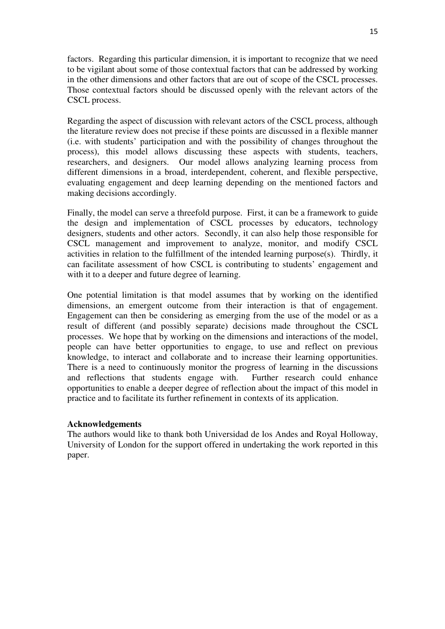factors. Regarding this particular dimension, it is important to recognize that we need to be vigilant about some of those contextual factors that can be addressed by working in the other dimensions and other factors that are out of scope of the CSCL processes. Those contextual factors should be discussed openly with the relevant actors of the CSCL process.

Regarding the aspect of discussion with relevant actors of the CSCL process, although the literature review does not precise if these points are discussed in a flexible manner (i.e. with students' participation and with the possibility of changes throughout the process), this model allows discussing these aspects with students, teachers, researchers, and designers. Our model allows analyzing learning process from different dimensions in a broad, interdependent, coherent, and flexible perspective, evaluating engagement and deep learning depending on the mentioned factors and making decisions accordingly.

Finally, the model can serve a threefold purpose. First, it can be a framework to guide the design and implementation of CSCL processes by educators, technology designers, students and other actors. Secondly, it can also help those responsible for CSCL management and improvement to analyze, monitor, and modify CSCL activities in relation to the fulfillment of the intended learning purpose(s). Thirdly, it can facilitate assessment of how CSCL is contributing to students' engagement and with it to a deeper and future degree of learning.

One potential limitation is that model assumes that by working on the identified dimensions, an emergent outcome from their interaction is that of engagement. Engagement can then be considering as emerging from the use of the model or as a result of different (and possibly separate) decisions made throughout the CSCL processes. We hope that by working on the dimensions and interactions of the model, people can have better opportunities to engage, to use and reflect on previous knowledge, to interact and collaborate and to increase their learning opportunities. There is a need to continuously monitor the progress of learning in the discussions and reflections that students engage with. Further research could enhance opportunities to enable a deeper degree of reflection about the impact of this model in practice and to facilitate its further refinement in contexts of its application.

#### **Acknowledgements**

The authors would like to thank both Universidad de los Andes and Royal Holloway, University of London for the support offered in undertaking the work reported in this paper.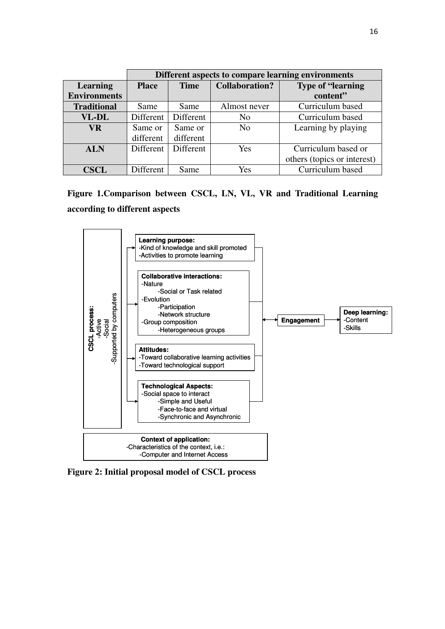|                     | Different aspects to compare learning environments |             |                       |                             |  |
|---------------------|----------------------------------------------------|-------------|-----------------------|-----------------------------|--|
| <b>Learning</b>     | <b>Place</b>                                       | <b>Time</b> | <b>Collaboration?</b> | <b>Type of "learning"</b>   |  |
| <b>Environments</b> |                                                    |             |                       | content"                    |  |
| <b>Traditional</b>  | Same                                               | Same        | Almost never          | Curriculum based            |  |
| <b>VL-DL</b>        | Different                                          | Different   | No                    | Curriculum based            |  |
| <b>VR</b>           | Same or                                            | Same or     | No                    | Learning by playing         |  |
|                     | different                                          | different   |                       |                             |  |
| <b>ALN</b>          | Different                                          | Different   | <b>Yes</b>            | Curriculum based or         |  |
|                     |                                                    |             |                       | others (topics or interest) |  |
| <b>CSCL</b>         | Different                                          | Same        | Yes                   | Curriculum based            |  |

**Figure 1.Comparison between CSCL, LN, VL, VR and Traditional Learning according to different aspects**

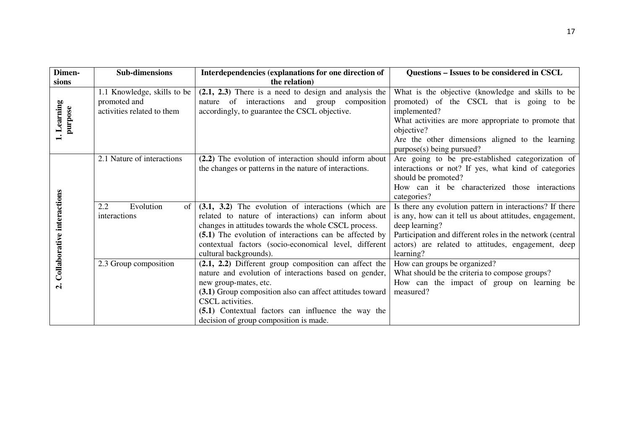| Dimen-                     | <b>Sub-dimensions</b>                                                     | Interdependencies (explanations for one direction of                                                                                                                                                                                                                                                                    | Questions – Issues to be considered in CSCL                                                                                                                                                                                                                           |
|----------------------------|---------------------------------------------------------------------------|-------------------------------------------------------------------------------------------------------------------------------------------------------------------------------------------------------------------------------------------------------------------------------------------------------------------------|-----------------------------------------------------------------------------------------------------------------------------------------------------------------------------------------------------------------------------------------------------------------------|
| sions                      |                                                                           | the relation)                                                                                                                                                                                                                                                                                                           |                                                                                                                                                                                                                                                                       |
| 1. Learning<br>purpose     | 1.1 Knowledge, skills to be<br>promoted and<br>activities related to them | $(2.1, 2.3)$ There is a need to design and analysis the<br>interactions<br>and group<br>of<br>composition<br>nature<br>accordingly, to guarantee the CSCL objective.                                                                                                                                                    | What is the objective (knowledge and skills to be<br>promoted) of the CSCL that is going to be<br>implemented?<br>What activities are more appropriate to promote that                                                                                                |
|                            |                                                                           |                                                                                                                                                                                                                                                                                                                         | objective?<br>Are the other dimensions aligned to the learning<br>purpose(s) being pursued?                                                                                                                                                                           |
|                            | 2.1 Nature of interactions                                                | (2.2) The evolution of interaction should inform about<br>the changes or patterns in the nature of interactions.                                                                                                                                                                                                        | Are going to be pre-established categorization of<br>interactions or not? If yes, what kind of categories<br>should be promoted?<br>How can it be characterized those interactions<br>categories?                                                                     |
| Collaborative interactions | 2.2<br>Evolution<br>of<br>interactions                                    | (3.1, 3.2) The evolution of interactions (which are<br>related to nature of interactions) can inform about<br>changes in attitudes towards the whole CSCL process.<br>(5.1) The evolution of interactions can be affected by<br>contextual factors (socio-economical level, different<br>cultural backgrounds).         | Is there any evolution pattern in interactions? If there<br>is any, how can it tell us about attitudes, engagement,<br>deep learning?<br>Participation and different roles in the network (central<br>actors) are related to attitudes, engagement, deep<br>learning? |
| $\dot{\mathbf{c}}$         | 2.3 Group composition                                                     | (2.1, 2.2) Different group composition can affect the<br>nature and evolution of interactions based on gender,<br>new group-mates, etc.<br>(3.1) Group composition also can affect attitudes toward<br>CSCL activities.<br>(5.1) Contextual factors can influence the way the<br>decision of group composition is made. | How can groups be organized?<br>What should be the criteria to compose groups?<br>How can the impact of group on learning be<br>measured?                                                                                                                             |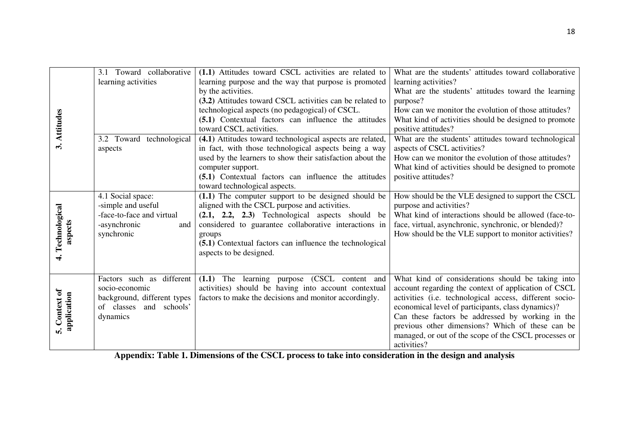|                              | 3.1 Toward collaborative    | (1.1) Attitudes toward CSCL activities are related to                           | What are the students' attitudes toward collaborative                        |
|------------------------------|-----------------------------|---------------------------------------------------------------------------------|------------------------------------------------------------------------------|
|                              | learning activities         | learning purpose and the way that purpose is promoted                           | learning activities?                                                         |
|                              |                             | by the activities.                                                              | What are the students' attitudes toward the learning                         |
|                              |                             | (3.2) Attitudes toward CSCL activities can be related to                        | purpose?                                                                     |
|                              |                             | technological aspects (no pedagogical) of CSCL.                                 | How can we monitor the evolution of those attitudes?                         |
| Attitudes                    |                             | (5.1) Contextual factors can influence the attitudes<br>toward CSCL activities. | What kind of activities should be designed to promote<br>positive attitudes? |
|                              | 3.2 Toward technological    | (4.1) Attitudes toward technological aspects are related,                       | What are the students' attitudes toward technological                        |
|                              | aspects                     | in fact, with those technological aspects being a way                           | aspects of CSCL activities?                                                  |
|                              |                             | used by the learners to show their satisfaction about the                       | How can we monitor the evolution of those attitudes?                         |
|                              |                             | computer support.                                                               | What kind of activities should be designed to promote                        |
|                              |                             | (5.1) Contextual factors can influence the attitudes                            | positive attitudes?                                                          |
|                              |                             | toward technological aspects.                                                   |                                                                              |
|                              | 4.1 Social space:           | (1.1) The computer support to be designed should be                             | How should be the VLE designed to support the CSCL                           |
|                              | -simple and useful          | aligned with the CSCL purpose and activities.                                   | purpose and activities?                                                      |
| Technological                | -face-to-face and virtual   | $(2.1, 2.2, 2.3)$ Technological aspects should be                               | What kind of interactions should be allowed (face-to-                        |
| aspects                      | -asynchronic<br>and         | considered to guarantee collaborative interactions in                           | face, virtual, asynchronic, synchronic, or blended)?                         |
|                              | synchronic                  | groups<br>(5.1) Contextual factors can influence the technological              | How should be the VLE support to monitor activities?                         |
|                              |                             | aspects to be designed.                                                         |                                                                              |
| 4.                           |                             |                                                                                 |                                                                              |
|                              |                             |                                                                                 |                                                                              |
|                              | Factors such as different   | (1.1) The learning purpose (CSCL content<br>and                                 | What kind of considerations should be taking into                            |
|                              | socio-economic              | activities) should be having into account contextual                            | account regarding the context of application of CSCL                         |
|                              | background, different types | factors to make the decisions and monitor accordingly.                          | activities (i.e. technological access, different socio-                      |
|                              | of classes and schools'     |                                                                                 | economical level of participants, class dynamics)?                           |
|                              | dynamics                    |                                                                                 | Can these factors be addressed by working in the                             |
| 5. Context of<br>application |                             |                                                                                 | previous other dimensions? Which of these can be                             |
|                              |                             |                                                                                 | managed, or out of the scope of the CSCL processes or<br>activities?         |
|                              |                             |                                                                                 |                                                                              |

**Appendix: Table 1. Dimensions of the CSCL process to take into consideration in the design and analysis**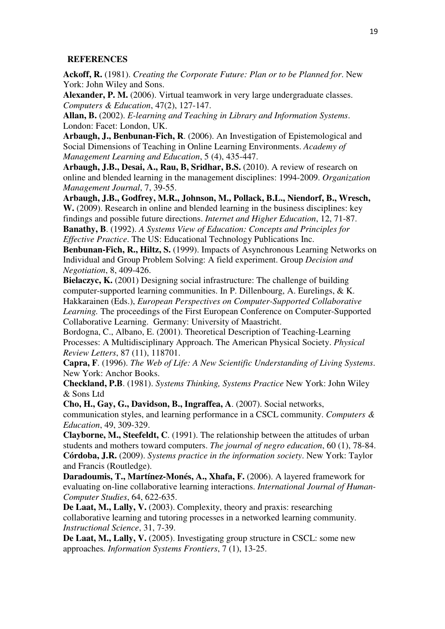#### **REFERENCES**

**Ackoff, R.** (1981). *Creating the Corporate Future: Plan or to be Planned for*. New York: John Wiley and Sons.

**Alexander, P. M.** (2006). Virtual teamwork in very large undergraduate classes. *Computers & Education*, 47(2), 127-147.

**Allan, B.** (2002). *E-learning and Teaching in Library and Information Systems*. London: Facet: London, UK.

**Arbaugh, J., Benbunan-Fich, R**. (2006). An Investigation of Epistemological and Social Dimensions of Teaching in Online Learning Environments. *Academy of Management Learning and Education*, 5 (4), 435-447.

**Arbaugh, J.B., Desai, A., Rau, B, Sridhar, B.S.** (2010). A review of research on online and blended learning in the management disciplines: 1994-2009. *Organization Management Journal*, 7, 39-55.

**Arbaugh, J.B., Godfrey, M.R., Johnson, M., Pollack, B.L., Niendorf, B., Wresch, W.** (2009). Research in online and blended learning in the business disciplines: key findings and possible future directions. *Internet and Higher Education*, 12, 71-87. **Banathy, B**. (1992). *A Systems View of Education: Concepts and Principles for* 

*Effective Practice*. The US: Educational Technology Publications Inc.

**Benbunan-Fich, R., Hiltz, S.** (1999). Impacts of Asynchronous Learning Networks on Individual and Group Problem Solving: A field experiment. Group *Decision and Negotiation*, 8, 409-426.

**Bielaczyc, K.** (2001) Designing social infrastructure: The challenge of building computer-supported learning communities. In P. Dillenbourg, A. Eurelings, & K. Hakkarainen (Eds.), *European Perspectives on Computer-Supported Collaborative Learning.* The proceedings of the First European Conference on Computer-Supported

Collaborative Learning. Germany: University of Maastricht. Bordogna, C., Albano, E. (2001). Theoretical Description of Teaching-Learning Processes: A Multidisciplinary Approach. The American Physical Society. *Physical* 

*Review Letters*, 87 (11), 118701. **Capra, F**. (1996). *The Web of Life: A New Scientific Understanding of Living Systems*. New York: Anchor Books.

**Checkland, P.B**. (1981). *Systems Thinking, Systems Practice* New York: John Wiley & Sons Ltd

**Cho, H., Gay, G., Davidson, B., Ingraffea, A**. (2007). Social networks, communication styles, and learning performance in a CSCL community. *Computers & Education*, 49, 309-329.

**Clayborne, M., Steefeldt, C**. (1991). The relationship between the attitudes of urban students and mothers toward computers. *The journal of negro education*, 60 (1), 78-84. **Córdoba, J.R.** (2009). *Systems practice in the information society*. New York: Taylor and Francis (Routledge).

**Daradoumis, T., Martínez-Monés, A., Xhafa, F.** (2006). A layered framework for evaluating on-line collaborative learning interactions. *International Journal of Human-Computer Studies*, 64, 622-635.

**De Laat, M., Lally, V.** (2003). Complexity, theory and praxis: researching collaborative learning and tutoring processes in a networked learning community. *Instructional Science*, 31, 7-39.

**De Laat, M., Lally, V.** (2005). Investigating group structure in CSCL: some new approaches*. Information Systems Frontiers*, 7 (1), 13-25.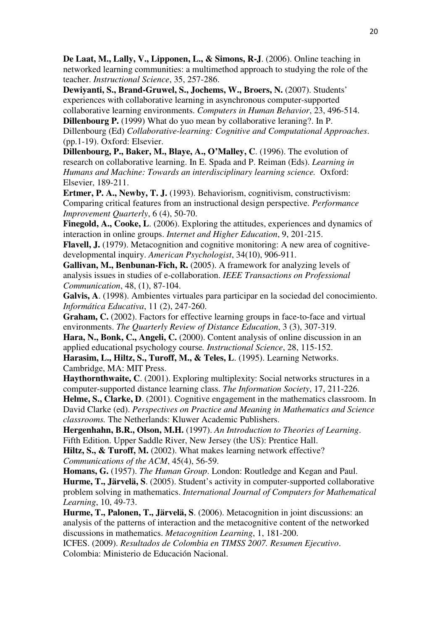**De Laat, M., Lally, V., Lipponen, L., & Simons, R-J**. (2006). Online teaching in networked learning communities: a multimethod approach to studying the role of the teacher. *Instructional Science*, 35, 257-286.

**Dewiyanti, S., Brand-Gruwel, S., Jochems, W., Broers, N.** (2007). Students' experiences with collaborative learning in asynchronous computer-supported collaborative learning environments. *Computers in Human Behavior*, 23, 496-514.

**Dillenbourg P.** (1999) What do yuo mean by collaborative leraning?. In P. Dillenbourg (Ed) *Collaborative-learning: Cognitive and Computational Approaches*. (pp.1-19). Oxford: Elsevier.

**Dillenbourg, P., Baker, M., Blaye, A., O'Malley, C**. (1996). The evolution of research on collaborative learning. In E. Spada and P. Reiman (Eds). *Learning in Humans and Machine: Towards an interdisciplinary learning science.* Oxford: Elsevier, 189-211.

**Ertmer, P. A., Newby, T. J.** (1993). Behaviorism, cognitivism, constructivism: Comparing critical features from an instructional design perspective. *Performance Improvement Quarterly*, 6 (4), 50-70.

**Finegold, A., Cooke, L**. (2006). Exploring the attitudes, experiences and dynamics of interaction in online groups. *Internet and Higher Education*, 9, 201-215.

**Flavell, J.** (1979). Metacognition and cognitive monitoring: A new area of cognitivedevelopmental inquiry. *American Psychologist*, 34(10), 906-911.

**Gallivan, M., Benbunan-Fich, R.** (2005). A framework for analyzing levels of analysis issues in studies of e-collaboration. *IEEE Transactions on Professional Communication*, 48, (1), 87-104.

**Galvis, A**. (1998). Ambientes virtuales para participar en la sociedad del conocimiento. *Informática Educativa*, 11 (2), 247-260.

**Graham, C.** (2002). Factors for effective learning groups in face-to-face and virtual environments. *The Quarterly Review of Distance Education*, 3 (3), 307-319.

**Hara, N., Bonk, C., Angeli, C.** (2000). Content analysis of online discussion in an applied educational psychology course*. Instructional Science*, 28, 115-152.

**Harasim, L., Hiltz, S., Turoff, M., & Teles, L**. (1995). Learning Networks. Cambridge, MA: MIT Press.

**Haythornthwaite, C**. (2001). Exploring multiplexity: Social networks structures in a computer-supported distance learning class. *The Information Society*, 17, 211-226.

**Helme, S., Clarke, D**. (2001). Cognitive engagement in the mathematics classroom. In David Clarke (ed). *Perspectives on Practice and Meaning in Mathematics and Science classrooms.* The Netherlands: Kluwer Academic Publishers.

**Hergenhahn, B.R., Olson, M.H.** (1997). *An Introduction to Theories of Learning*. Fifth Edition. Upper Saddle River, New Jersey (the US): Prentice Hall.

**Hiltz, S., & Turoff, M.** (2002). What makes learning network effective? *Communications of the ACM*, 45(4), 56-59.

**Homans, G.** (1957). *The Human Group*. London: Routledge and Kegan and Paul. **Hurme, T., Järvelä, S**. (2005). Student's activity in computer-supported collaborative problem solving in mathematics. *International Journal of Computers for Mathematical Learning*, 10, 49-73.

**Hurme, T., Palonen, T., Järvelä, S**. (2006). Metacognition in joint discussions: an analysis of the patterns of interaction and the metacognitive content of the networked discussions in mathematics. *Metacognition Learning*, 1, 181-200.

ICFES. (2009). *Resultados de Colombia en TIMSS 2007. Resumen Ejecutivo*. Colombia: Ministerio de Educación Nacional.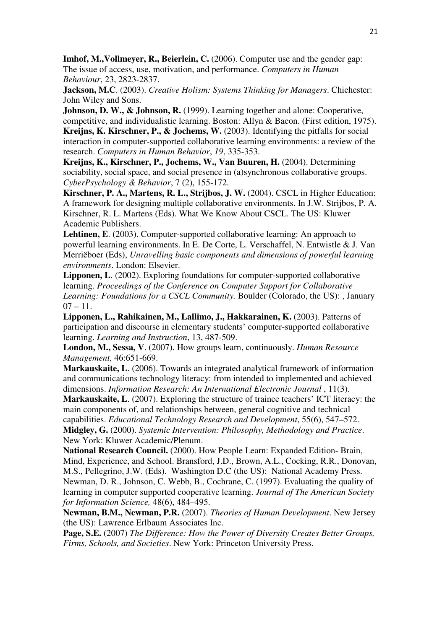**Imhof, M.,Vollmeyer, R., Beierlein, C.** (2006). Computer use and the gender gap: The issue of access, use, motivation, and performance. *Computers in Human Behaviour*, 23, 2823-2837.

**Jackson, M.C**. (2003). *Creative Holism: Systems Thinking for Managers*. Chichester: John Wiley and Sons.

**Johnson, D. W., & Johnson, R.** (1999). Learning together and alone: Cooperative, competitive, and individualistic learning. Boston: Allyn & Bacon. (First edition, 1975). **Kreijns, K. Kirschner, P., & Jochems, W.** (2003). Identifying the pitfalls for social interaction in computer-supported collaborative learning environments: a review of the

research. *Computers in Human Behavior*, *19*, 335-353.

**Kreijns, K., Kirschner, P., Jochems, W., Van Buuren, H.** (2004). Determining sociability, social space, and social presence in (a)synchronous collaborative groups. *CyberPsychology & Behavior*, 7 (2), 155-172.

**Kirschner, P. A., Martens, R. L., Strijbos, J. W.** (2004). CSCL in Higher Education: A framework for designing multiple collaborative environments. In J.W. Strijbos, P. A. Kirschner, R. L. Martens (Eds). What We Know About CSCL. The US: Kluwer Academic Publishers.

**Lehtinen, E**. (2003). Computer-supported collaborative learning: An approach to powerful learning environments. In E. De Corte, L. Verschaffel, N. Entwistle & J. Van Merriëboer (Eds), *Unravelling basic components and dimensions of powerful learning environments*. London: Elsevier.

**Lipponen, L**. (2002). Exploring foundations for computer-supported collaborative learning. *Proceedings of the Conference on Computer Support for Collaborative Learning: Foundations for a CSCL Community.* Boulder (Colorado, the US): , January  $07 - 11$ .

**Lipponen, L., Rahikainen, M., Lallimo, J., Hakkarainen, K.** (2003). Patterns of participation and discourse in elementary students' computer-supported collaborative learning. *Learning and Instruction*, 13, 487-509.

**London, M., Sessa, V**. (2007). How groups learn, continuously. *Human Resource Management,* 46:651-669.

**Markauskaite, L**. (2006). Towards an integrated analytical framework of information and communications technology literacy: from intended to implemented and achieved dimensions. *Information Research: An International Electronic Journal*, 11(3).

**Markauskaite, L**. (2007). Exploring the structure of trainee teachers' ICT literacy: the main components of, and relationships between, general cognitive and technical capabilities. *Educational Technology Research and Development*, 55(6), 547–572. **Midgley, G.** (2000). *Systemic Intervention: Philosophy, Methodology and Practice*. New York: Kluwer Academic/Plenum.

**National Research Council.** (2000). How People Learn: Expanded Edition- Brain, Mind, Experience, and School. Bransford, J.D., Brown, A.L., Cocking, R.R., Donovan, M.S., Pellegrino, J.W. (Eds). Washington D.C (the US): National Academy Press. Newman, D. R., Johnson, C. Webb, B., Cochrane, C. (1997). Evaluating the quality of learning in computer supported cooperative learning. *Journal of The American Society for Information Science,* 48(6), 484–495.

**Newman, B.M., Newman, P.R.** (2007). *Theories of Human Development*. New Jersey (the US): Lawrence Erlbaum Associates Inc.

**Page, S.E.** (2007) *The Difference: How the Power of Diversity Creates Better Groups, Firms, Schools, and Societies*. New York: Princeton University Press.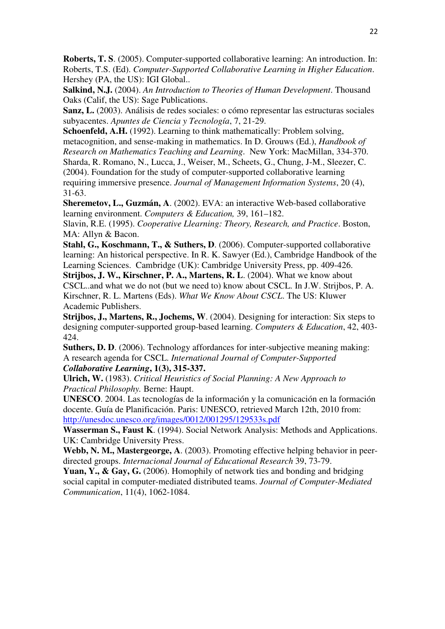**Roberts, T. S**. (2005). Computer-supported collaborative learning: An introduction. In: Roberts, T.S. (Ed). *Computer-Supported Collaborative Learning in Higher Education*. Hershey (PA, the US): IGI Global..

**Salkind, N.J.** (2004). *An Introduction to Theories of Human Development*. Thousand Oaks (Calif, the US): Sage Publications.

**Sanz, L.** (2003). Análisis de redes sociales: o cómo representar las estructuras sociales subyacentes. *Apuntes de Ciencia y Tecnología*, 7, 21-29.

**Schoenfeld, A.H.** (1992). Learning to think mathematically: Problem solving, metacognition, and sense-making in mathematics. In D. Grouws (Ed.), *Handbook of Research on Mathematics Teaching and Learning*. New York: MacMillan, 334-370. Sharda, R. Romano, N., Lucca, J., Weiser, M., Scheets, G., Chung, J-M., Sleezer, C. (2004). Foundation for the study of computer-supported collaborative learning requiring immersive presence. *Journal of Management Information Systems*, 20 (4), 31-63.

**Sheremetov, L., Guzmán, A**. (2002). EVA: an interactive Web-based collaborative learning environment. *Computers & Education,* 39, 161–182.

Slavin, R.E. (1995). *Cooperative Llearning: Theory, Research, and Practice*. Boston, MA: Allyn & Bacon.

**Stahl, G., Koschmann, T., & Suthers, D**. (2006). Computer-supported collaborative learning: An historical perspective. In R. K. Sawyer (Ed.), Cambridge Handbook of the Learning Sciences. Cambridge (UK): Cambridge University Press, pp. 409-426.

**Strijbos, J. W., Kirschner, P. A., Martens, R. L**. (2004). What we know about CSCL..and what we do not (but we need to) know about CSCL. In J.W. Strijbos, P. A. Kirschner, R. L. Martens (Eds). *What We Know About CSCL*. The US: Kluwer Academic Publishers.

**Strijbos, J., Martens, R., Jochems, W**. (2004). Designing for interaction: Six steps to designing computer-supported group-based learning. *Computers & Education*, 42, 403- 424.

**Suthers, D. D.** (2006). Technology affordances for inter-subjective meaning making: A research agenda for CSCL. *International Journal of Computer-Supported Collaborative Learning***, 1(3), 315-337.** 

**Ulrich, W.** (1983). *Critical Heuristics of Social Planning: A New Approach to Practical Philosophy.* Berne: Haupt.

**UNESCO**. 2004. Las tecnologías de la información y la comunicación en la formación docente. Guía de Planificación. Paris: UNESCO, retrieved March 12th, 2010 from: http://unesdoc.unesco.org/images/0012/001295/129533s.pdf

**Wasserman S., Faust K**. (1994). Social Network Analysis: Methods and Applications. UK: Cambridge University Press.

**Webb, N. M., Mastergeorge, A**. (2003). Promoting effective helping behavior in peerdirected groups. *Internacional Journal of Educational Research* 39, 73-79.

Yuan, Y., & Gay, G. (2006). Homophily of network ties and bonding and bridging social capital in computer-mediated distributed teams. *Journal of Computer-Mediated Communication*, 11(4), 1062-1084.